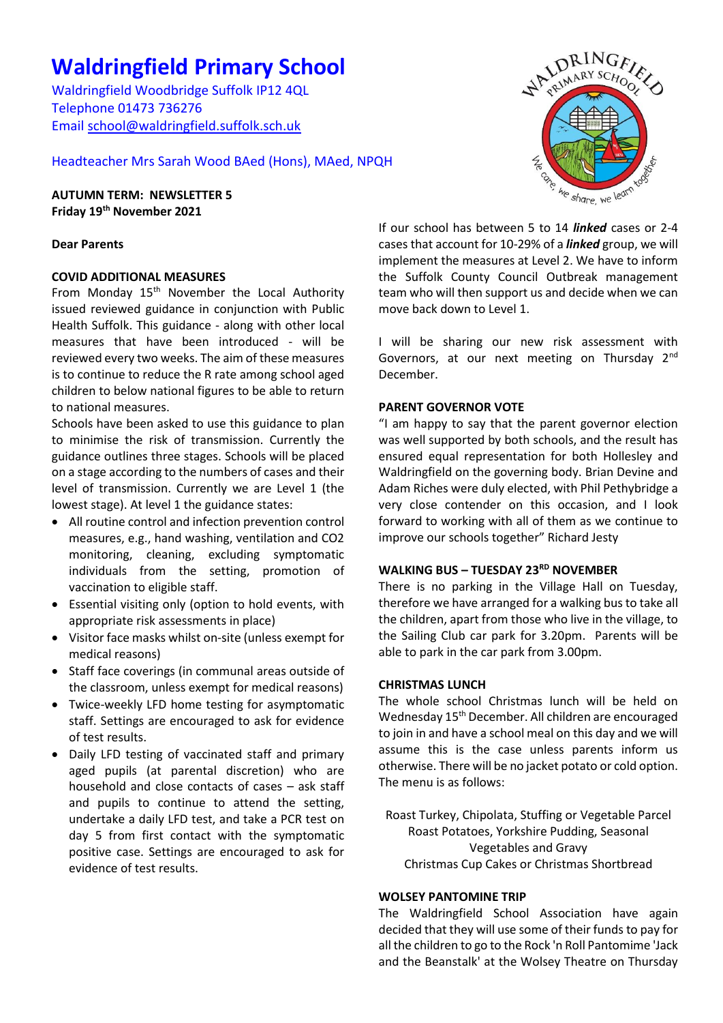# **Waldringfield Primary School**

Waldringfield Woodbridge Suffolk IP12 4QL Telephone 01473 736276 Email [school@waldringfield.suffolk.sch.uk](mailto:school@waldringfield.suffolk.sch.uk)

Headteacher Mrs Sarah Wood BAed (Hons), MAed, NPQH

**AUTUMN TERM: NEWSLETTER 5 Friday 19th November 2021**

# **Dear Parents**

# **COVID ADDITIONAL MEASURES**

From Monday 15<sup>th</sup> November the Local Authority issued reviewed guidance in conjunction with Public Health Suffolk. This guidance - along with other local measures that have been introduced - will be reviewed every two weeks. The aim of these measures is to continue to reduce the R rate among school aged children to below national figures to be able to return to national measures.

Schools have been asked to use this guidance to plan to minimise the risk of transmission. Currently the guidance outlines three stages. Schools will be placed on a stage according to the numbers of cases and their level of transmission. Currently we are Level 1 (the lowest stage). At level 1 the guidance states:

- All routine control and infection prevention control measures, e.g., hand washing, ventilation and CO2 monitoring, cleaning, excluding symptomatic individuals from the setting, promotion of vaccination to eligible staff.
- Essential visiting only (option to hold events, with appropriate risk assessments in place)
- Visitor face masks whilst on-site (unless exempt for medical reasons)
- Staff face coverings (in communal areas outside of the classroom, unless exempt for medical reasons)
- Twice-weekly LFD home testing for asymptomatic staff. Settings are encouraged to ask for evidence of test results.
- Daily LFD testing of vaccinated staff and primary aged pupils (at parental discretion) who are household and close contacts of cases – ask staff and pupils to continue to attend the setting, undertake a daily LFD test, and take a PCR test on day 5 from first contact with the symptomatic positive case. Settings are encouraged to ask for evidence of test results.



If our school has between 5 to 14 *linked* cases or 2-4 cases that account for 10-29% of a *linked* group, we will implement the measures at Level 2. We have to inform the Suffolk County Council Outbreak management team who will then support us and decide when we can move back down to Level 1.

I will be sharing our new risk assessment with Governors, at our next meeting on Thursday 2<sup>nd</sup> December.

# **PARENT GOVERNOR VOTE**

"I am happy to say that the parent governor election was well supported by both schools, and the result has ensured equal representation for both Hollesley and Waldringfield on the governing body. Brian Devine and Adam Riches were duly elected, with Phil Pethybridge a very close contender on this occasion, and I look forward to working with all of them as we continue to improve our schools together" Richard Jesty

# **WALKING BUS – TUESDAY 23RD NOVEMBER**

There is no parking in the Village Hall on Tuesday, therefore we have arranged for a walking bus to take all the children, apart from those who live in the village, to the Sailing Club car park for 3.20pm. Parents will be able to park in the car park from 3.00pm.

# **CHRISTMAS LUNCH**

The whole school Christmas lunch will be held on Wednesday 15th December. All children are encouraged to join in and have a school meal on this day and we will assume this is the case unless parents inform us otherwise. There will be no jacket potato or cold option. The menu is as follows:

Roast Turkey, Chipolata, Stuffing or Vegetable Parcel Roast Potatoes, Yorkshire Pudding, Seasonal Vegetables and Gravy Christmas Cup Cakes or Christmas Shortbread

# **WOLSEY PANTOMINE TRIP**

The Waldringfield School Association have again decided that they will use some of their funds to pay for all the children to go to the Rock 'n Roll Pantomime 'Jack and the Beanstalk' at the Wolsey Theatre on Thursday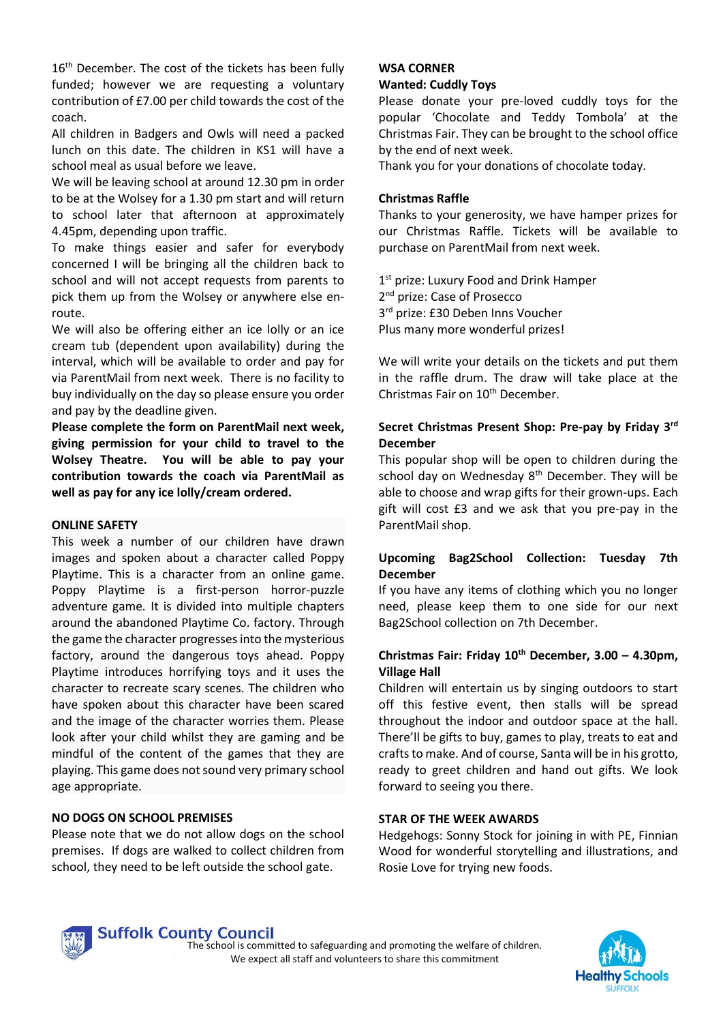16<sup>th</sup> December. The cost of the tickets has been fully funded; however we are requesting a voluntary contribution of £7.00 per child towards the cost of the coach.

All children in Badgers and Owls will need a packed lunch on this date. The children in KS1 will have a school meal as usual before we leave.

We will be leaving school at around 12.30 pm in order to be at the Wolsey for a 1.30 pm start and will return to school later that afternoon at approximately 4.45pm, depending upon traffic.

To make things easier and safer for everybody concerned I will be bringing all the children back to school and will not accept requests from parents to pick them up from the Wolsey or anywhere else enroute.

We will also be offering either an ice lolly or an ice cream tub (dependent upon availability) during the interval, which will be available to order and pay for via ParentMail from next week. There is no facility to buy individually on the day so please ensure you order and pay by the deadline given.

**Please complete the form on ParentMail next week, giving permission for your child to travel to the Wolsey Theatre. You will be able to pay your contribution towards the coach via ParentMail as well as pay for any ice lolly/cream ordered.**

#### **ONLINE SAFETY**

This week a number of our children have drawn images and spoken about a character called Poppy Playtime. This is a character from an online game. Poppy Playtime is a first-person horror-puzzle adventure game*.* It is divided into multiple chapters around the abandoned Playtime Co. factory. Through the game the character progresses into the mysterious factory, around the dangerous toys ahead. Poppy Playtime introduces horrifying toys and it uses the character to recreate scary scenes. The children who have spoken about this character have been scared and the image of the character worries them. Please look after your child whilst they are gaming and be mindful of the content of the games that they are playing. This game does not sound very primary school age appropriate.

#### **NO DOGS ON SCHOOL PREMISES**

Please note that we do not allow dogs on the school premises. If dogs are walked to collect children from school, they need to be left outside the school gate.

#### **WSA CORNER Wanted: Cuddly Toys**

# Please donate your pre-loved cuddly toys for the popular 'Chocolate and Teddy Tombola' at the Christmas Fair. They can be brought to the school office

by the end of next week.

Thank you for your donations of chocolate today.

#### **Christmas Raffle**

Thanks to your generosity, we have hamper prizes for our Christmas Raffle. Tickets will be available to purchase on ParentMail from next week.

1<sup>st</sup> prize: Luxury Food and Drink Hamper 2<sup>nd</sup> prize: Case of Prosecco 3<sup>rd</sup> prize: £30 Deben Inns Voucher Plus many more wonderful prizes!

We will write your details on the tickets and put them in the raffle drum. The draw will take place at the Christmas Fair on 10<sup>th</sup> December.

## **Secret Christmas Present Shop: Pre-pay by Friday 3rd December**

This popular shop will be open to children during the school day on Wednesday 8<sup>th</sup> December. They will be able to choose and wrap gifts for their grown-ups. Each gift will cost £3 and we ask that you pre-pay in the ParentMail shop.

# **Upcoming Bag2School Collection: Tuesday 7th December**

If you have any items of clothing which you no longer need, please keep them to one side for our next Bag2School collection on 7th December.

## **Christmas Fair: Friday 10th December, 3.00 – 4.30pm, Village Hall**

Children will entertain us by singing outdoors to start off this festive event, then stalls will be spread throughout the indoor and outdoor space at the hall. There'll be gifts to buy, games to play, treats to eat and crafts to make. And of course, Santa will be in his grotto, ready to greet children and hand out gifts. We look forward to seeing you there.

#### **STAR OF THE WEEK AWARDS**

Hedgehogs: Sonny Stock for joining in with PE, Finnian Wood for wonderful storytelling and illustrations, and Rosie Love for trying new foods.



The school is committed to safeguarding and promoting the welfare of children. We expect all staff and volunteers to share this commitment

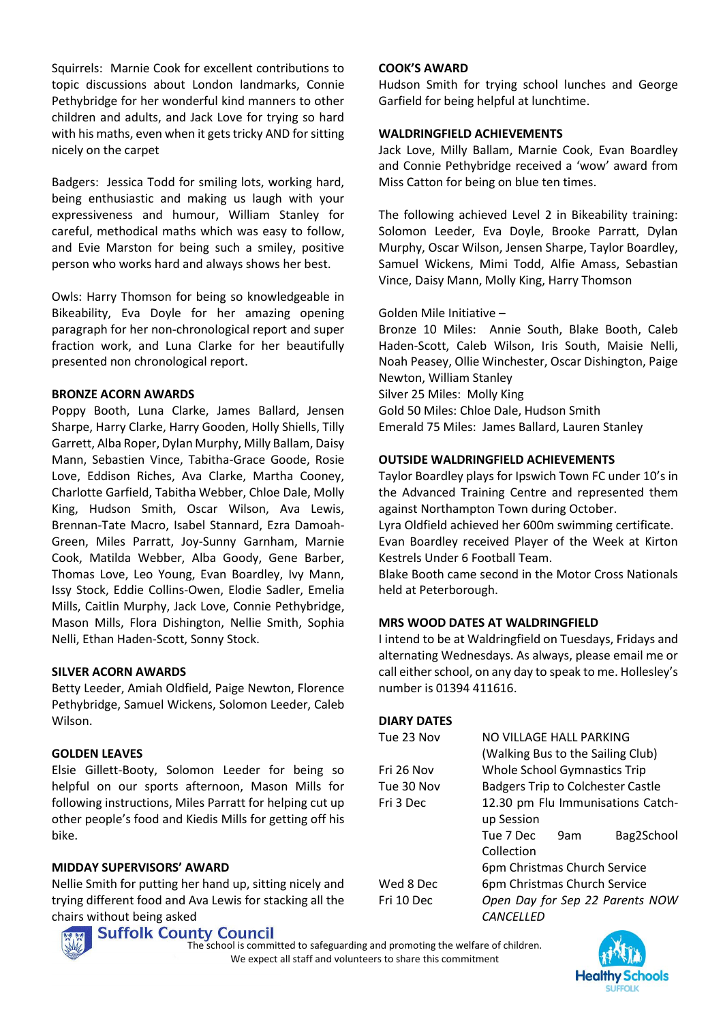Squirrels: Marnie Cook for excellent contributions to topic discussions about London landmarks, Connie Pethybridge for her wonderful kind manners to other children and adults, and Jack Love for trying so hard with his maths, even when it gets tricky AND for sitting nicely on the carpet

Badgers: Jessica Todd for smiling lots, working hard, being enthusiastic and making us laugh with your expressiveness and humour, William Stanley for careful, methodical maths which was easy to follow, and Evie Marston for being such a smiley, positive person who works hard and always shows her best.

Owls: Harry Thomson for being so knowledgeable in Bikeability, Eva Doyle for her amazing opening paragraph for her non-chronological report and super fraction work, and Luna Clarke for her beautifully presented non chronological report.

#### **BRONZE ACORN AWARDS**

Poppy Booth, Luna Clarke, James Ballard, Jensen Sharpe, Harry Clarke, Harry Gooden, Holly Shiells, Tilly Garrett, Alba Roper, Dylan Murphy, Milly Ballam, Daisy Mann, Sebastien Vince, Tabitha-Grace Goode, Rosie Love, Eddison Riches, Ava Clarke, Martha Cooney, Charlotte Garfield, Tabitha Webber, Chloe Dale, Molly King, Hudson Smith, Oscar Wilson, Ava Lewis, Brennan-Tate Macro, Isabel Stannard, Ezra Damoah-Green, Miles Parratt, Joy-Sunny Garnham, Marnie Cook, Matilda Webber, Alba Goody, Gene Barber, Thomas Love, Leo Young, Evan Boardley, Ivy Mann, Issy Stock, Eddie Collins-Owen, Elodie Sadler, Emelia Mills, Caitlin Murphy, Jack Love, Connie Pethybridge, Mason Mills, Flora Dishington, Nellie Smith, Sophia Nelli, Ethan Haden-Scott, Sonny Stock.

#### **SILVER ACORN AWARDS**

Betty Leeder, Amiah Oldfield, Paige Newton, Florence Pethybridge, Samuel Wickens, Solomon Leeder, Caleb Wilson.

#### **GOLDEN LEAVES**

Elsie Gillett-Booty, Solomon Leeder for being so helpful on our sports afternoon, Mason Mills for following instructions, Miles Parratt for helping cut up other people's food and Kiedis Mills for getting off his bike.

# **MIDDAY SUPERVISORS' AWARD**

Nellie Smith for putting her hand up, sitting nicely and trying different food and Ava Lewis for stacking all the chairs without being asked

# **Suffolk County Council**



**COOK'S AWARD**

Hudson Smith for trying school lunches and George Garfield for being helpful at lunchtime.

#### **WALDRINGFIELD ACHIEVEMENTS**

Jack Love, Milly Ballam, Marnie Cook, Evan Boardley and Connie Pethybridge received a 'wow' award from Miss Catton for being on blue ten times.

The following achieved Level 2 in Bikeability training: Solomon Leeder, Eva Doyle, Brooke Parratt, Dylan Murphy, Oscar Wilson, Jensen Sharpe, Taylor Boardley, Samuel Wickens, Mimi Todd, Alfie Amass, Sebastian Vince, Daisy Mann, Molly King, Harry Thomson

# Golden Mile Initiative –

Bronze 10 Miles: Annie South, Blake Booth, Caleb Haden-Scott, Caleb Wilson, Iris South, Maisie Nelli, Noah Peasey, Ollie Winchester, Oscar Dishington, Paige Newton, William Stanley Silver 25 Miles: Molly King Gold 50 Miles: Chloe Dale, Hudson Smith Emerald 75 Miles: James Ballard, Lauren Stanley

## **OUTSIDE WALDRINGFIELD ACHIEVEMENTS**

Taylor Boardley plays for Ipswich Town FC under 10's in the Advanced Training Centre and represented them against Northampton Town during October. Lyra Oldfield achieved her 600m swimming certificate. Evan Boardley received Player of the Week at Kirton Kestrels Under 6 Football Team. Blake Booth came second in the Motor Cross Nationals

held at Peterborough.

# **MRS WOOD DATES AT WALDRINGFIELD**

I intend to be at Waldringfield on Tuesdays, Fridays and alternating Wednesdays. As always, please email me or call either school, on any day to speak to me. Hollesley's number is 01394 411616.

# **DIARY DATES**

| <b>Whole School Gymnastics Trip</b> |     |                                                                                                                                                                          |
|-------------------------------------|-----|--------------------------------------------------------------------------------------------------------------------------------------------------------------------------|
|                                     |     |                                                                                                                                                                          |
| 12.30 pm Flu Immunisations Catch-   |     |                                                                                                                                                                          |
| up Session                          |     |                                                                                                                                                                          |
| Tue 7 Dec                           | 9am | Bag2School                                                                                                                                                               |
| Collection                          |     |                                                                                                                                                                          |
|                                     |     |                                                                                                                                                                          |
|                                     |     |                                                                                                                                                                          |
| Open Day for Sep 22 Parents NOW     |     |                                                                                                                                                                          |
| <i>CANCELLED</i>                    |     |                                                                                                                                                                          |
|                                     |     | NO VILLAGE HALL PARKING<br>(Walking Bus to the Sailing Club)<br><b>Badgers Trip to Colchester Castle</b><br>6pm Christmas Church Service<br>6pm Christmas Church Service |

The school is committed to safeguarding and promoting the welfare of children. We expect all staff and volunteers to share this commitment